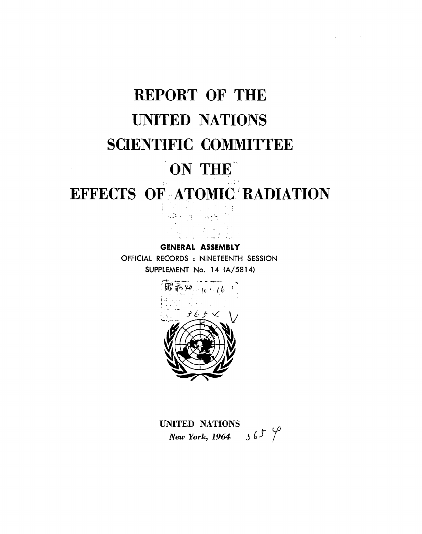# **REPORT OF THE UNITED NATIONS SCIENTIFIC COMMITTEE** ON THE

# EFFECTS OF ATOMIC RADIATION

**GENERAL ASSEMBLY** OFFICIAL RECORDS : NINETEENTH SESSION SUPPLEMENT No. 14 (A/5814)



UNITED NATIONS New York, 1964  $365$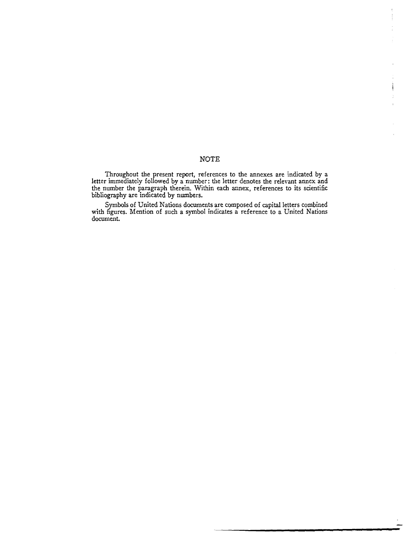# NOTE

Ì

Throughout the present report, references to the annexes are indicated by a letter immediately followed by a number: the letter denotes the relevant annex and the number the paragraph therein. Within each annex, references to its scientific bibliography are indicated by numbers.

Symbols of United Nations documents are composed of capital letters combined with figures. Mention of such a symbol indicates a reference to a United Nations document.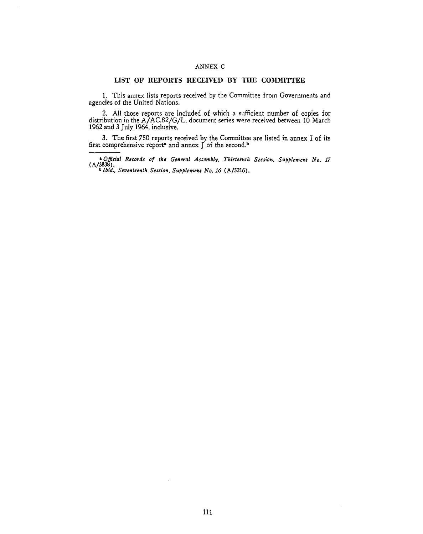## ANNEX C

# LIST OF REPORTS RECEIVED BY THE COMMITTEE

<span id="page-2-0"></span>1. This annex lists reports received by the Committee from Governments and agencies of the United Nations.

2. All those reports are included of which a sufficient number of copies for distribution in the A/ AC.82/G/L. document series were received between 10 March 1962 and 3 July 1964, inclusive.

3. The first 750 reports received by the Committee are listed in annex I of its first comprehensive report<sup>s</sup> and annex  $\int$  of the second.<sup>b</sup>

**a** *Official Records of the General Assembly, Thirteenth Session, Supplement No. 17* (A/3838). bJbid., *Swenteenth Session, Supplement No. 16* (A/5216).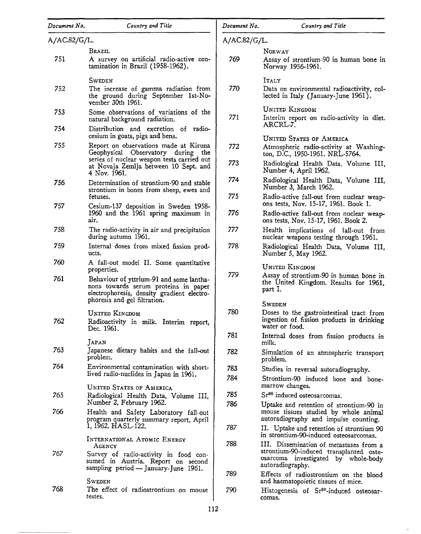| Document No. | Country and Title                                                                                                                                              | Document No. | Country and Title                                                                                                                             |
|--------------|----------------------------------------------------------------------------------------------------------------------------------------------------------------|--------------|-----------------------------------------------------------------------------------------------------------------------------------------------|
| A/AC.82/G/L. |                                                                                                                                                                | A/AC.82/G/L. |                                                                                                                                               |
|              | Brazil                                                                                                                                                         |              | NORWAY                                                                                                                                        |
| 751          | A survey on artificial radio-active con-<br>tamination in Brazil (1958-1962).                                                                                  | 769          | Assay of strontium-90 in human bone in<br>Norway 1956-1961.                                                                                   |
|              | SWEDEN                                                                                                                                                         |              | ITALY                                                                                                                                         |
| 752          | The increase of gamma radiation from<br>the ground during September 1st-No-<br>vember 30th 1961.                                                               | 770          | Data on environmental radioactivity, col-<br>lected in Italy (January-June 1961).                                                             |
| 753          | Some observations of variations of the                                                                                                                         |              | UNITED KINGDOM                                                                                                                                |
|              | natural background radiation.                                                                                                                                  | 771          | Interim report on radio-activity in diet.<br>ARCRL-7.                                                                                         |
| 754          | Distribution and excretion of radio-<br>cesium in goats, pigs and hens.                                                                                        |              | <b>UNITED STATES OF AMERICA</b>                                                                                                               |
| 755          | Report on observations made at Kiruna<br>Geophysical Observatory during the                                                                                    | 772          | Atmospheric radio-activity at Washing-<br>ton, D.C., 1950-1961. NRL-5764.                                                                     |
|              | series of nuclear weapon tests carried out<br>at Novaja Zemlja between 10 Sept. and<br>4 Nov. 1961.                                                            | 773          | Radiological Health Data, Volume III,<br>Number 4, April 1962.                                                                                |
| 756          | Determination of strontium-90 and stable<br>strontium in bones from sheep, ewes and                                                                            | 774          | Radiological Health Data, Volume III,<br>Number 3, March 1962.                                                                                |
| 757          | fetuses.<br>Cesium-137 deposition in Sweden 1958-                                                                                                              | 775          | Radio-active fall-out from nuclear weap-<br>ons tests, Nov. 15-17, 1961. Book 1.                                                              |
|              | 1960 and the 1961 spring maximum in<br>air.                                                                                                                    | 776          | Radio-active fall-out from nuclear weap-<br>ons tests, Nov. 15-17, 1961. Book 2.                                                              |
| 758          | The radio-activity in air and precipitation<br>during autumn 1961.                                                                                             | 777          | Health implications of fall-out from<br>nuclear weapons testing through 1961.                                                                 |
| 759          | Internal doses from mixed fission prod-<br>ucts.                                                                                                               | 778          | Radiological Health Data, Volume III,<br>Number 5, May 1962.                                                                                  |
| 760          | A fall-out model II. Some quantitative<br>properties.                                                                                                          |              | <b>UNITED KINGDOM</b>                                                                                                                         |
| 761          | Behaviour of yttrium-91 and some lantha-<br>nons towards serum proteins in paper<br>electrophoresis, density gradient electro-<br>phoresis and gel filtration. | 779          | Assay of strontium-90 in human bone in<br>the United Kingdom. Results for 1961,<br>part I.                                                    |
|              |                                                                                                                                                                |              | <b>SWEDEN</b>                                                                                                                                 |
| 762          | UNITED KINGDOM<br>Radioactivity in milk. Interim report,<br>Dec. 1961.                                                                                         | 780          | Doses to the gastrointestinal tract from<br>ingestion of fission products in drinking<br>water or tood.                                       |
|              | JAPAN                                                                                                                                                          | 781          | Internal doses from fission products in<br>milk.                                                                                              |
| 763          | Japanese dietary habits and the fall-out<br>problem.                                                                                                           | 782          | Simulation of an atmospheric transport<br>problem.                                                                                            |
| 764          | Environmental contamination with short-                                                                                                                        | 783          | Studies in reversal autoradiography.                                                                                                          |
|              | lived radio-nuclides in Japan in 1961.<br><b>UNITED STATES OF AMERICA</b>                                                                                      | 784          | Strontium-90 induced bone and bone-<br>marrow changes.                                                                                        |
| 765          | Radiological Health Data, Volume III,                                                                                                                          | 785          | Sr <sup>90</sup> induced osteosarcomas.                                                                                                       |
| 766          | Number 2, February 1962.<br>Health and Safety Laboratory fall-out                                                                                              | 786          | Uptake and retention of strontium-90 in<br>mouse tissues studied by whole animal                                                              |
|              | program quarterly summary report, April<br>1, 1962. HASL-122.                                                                                                  | 787          | autoradiography and impulse counting.<br>II. Uptake and retention of strontium 90                                                             |
|              | INTERNATIONAL ATOMIC ENERGY                                                                                                                                    | 788          | in strontium-90-induced osteosarcomas.                                                                                                        |
| 767          | Agency<br>Survey of radio-activity in food con-<br>sumed in Austria. Report on second<br>sampling period - January-June 1961.                                  |              | III. Dissemination of metastases from a<br>strontium-90-induced transplanted oste-<br>osarcoma investigated by whole-body<br>autoradiography. |
|              | SWEDEN                                                                                                                                                         | 789          | Effects of radiostrontium on the blood<br>and haematopoietic tissues of mice.                                                                 |
| 768          | The effect of radiostrontium on mouse<br>testes.                                                                                                               | 790          | Histogenesis of Sr <sup>90</sup> -induced osteosar-<br>comas.                                                                                 |

 $\epsilon$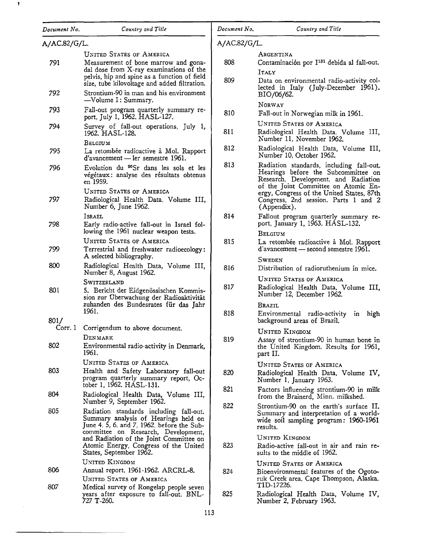| Document No. | Country and Title                                                                                                                                                                                                  | Document No. | Country and Title                                                                                                                                                                                            |
|--------------|--------------------------------------------------------------------------------------------------------------------------------------------------------------------------------------------------------------------|--------------|--------------------------------------------------------------------------------------------------------------------------------------------------------------------------------------------------------------|
| A/AC.82/G/L. |                                                                                                                                                                                                                    | A/AC.82/G/L. |                                                                                                                                                                                                              |
| 791          | <b>UNITED STATES OF AMERICA</b><br>Measurement of bone marrow and gona-<br>dal dose from X-ray examinations of the<br>pelvis, hip and spine as a function of field<br>size, tube kilovoltage and added filtration. | 808<br>809   | ARGENTINA<br>Contaminación por I <sup>131</sup> debida al fall-out.<br>ITALY<br>Data on environmental radio-activity col-                                                                                    |
| 792          | Strontium-90 in man and his environment<br>-Volume I: Summary.                                                                                                                                                     |              | lected in Italy (July-December 1961).<br>BIO/06/62.                                                                                                                                                          |
| 793          | Fall-out program quarterly summary re-<br>port, July 1, 1962. HASL-127.                                                                                                                                            | 810          | NORWAY<br>Fall-out in Norwegian milk in 1961.                                                                                                                                                                |
| 794          | Survey of fall-out operations, July 1,<br>1962. HASL-128.<br>BELGIUM                                                                                                                                               | 811          | <b>UNITED STATES OF AMERICA</b><br>Radiological Health Data, Volume III,<br>Number 11, November 1962.                                                                                                        |
| 795          | La retombée radioactive à Mol. Rapport<br>$d'avancement$ — ler semestre 1961.                                                                                                                                      | 812          | Radiological Health Data, Volume III,<br>Number 10, October 1962.                                                                                                                                            |
| 796          | Evolution du <sup>90</sup> Sr dans les sols et les<br>végétaux : analyse des résultats obtenus<br>en 1959.<br><b>UNITED STATES OF AMERICA</b>                                                                      | 813          | Radiation standards, including fall-out.<br>Hearings before the Subcommittee on<br>Research, Development, and Radiation<br>of the Joint Committee on Atomic En-<br>ergy, Congress of the United States, 87th |
| 797          | Radiological Health Data, Volume III,<br>Number 6, June 1962.                                                                                                                                                      |              | Congress, 2nd session. Parts 1 and 2<br>(Appendix).                                                                                                                                                          |
| 798          | Israel<br>Early radio-active fall-out in Israel fol-<br>lowing the 1961 nuclear weapon tests.                                                                                                                      | 814          | Fallout program quarterly summary re-<br>port, January 1, 1963. HASL-132.<br>BELGIUM                                                                                                                         |
| 799          | UNITED STATES OF AMERICA<br>Terrestrial and freshwater radioecology:<br>A selected bibliography.                                                                                                                   | 815          | La retombée radioactive à Mol. Rapport<br>d'avancement — second semestre 1961.                                                                                                                               |
| 800          | Radiological Health Data, Volume III,<br>Number 8, August 1962.                                                                                                                                                    | 816          | <b>SWEDEN</b><br>Distribution of radioruthenium in mice.                                                                                                                                                     |
| 801          | Switzerland<br>5. Bericht der Eidgenössischen Kommis-<br>sion zur Überwachung der Radioaktivität                                                                                                                   | 817          | <b>UNITED STATES OF AMERICA</b><br>Radiological Health Data, Volume III,<br>Number 12, December 1962.                                                                                                        |
| 801/         | zuhanden des Bundesrates für das Jahr<br>1961.                                                                                                                                                                     | 818          | Brazil<br>Environmental radio-activity<br>high<br>$\mathbf{in}$<br>background areas of Brazil.                                                                                                               |
| 802          | Corr. 1 Corrigendum to above document.<br>DENMARK<br>Environmental radio-activity in Denmark,<br>1961.                                                                                                             | 819          | <b>UNITED KINGDOM</b><br>Assay of strontium-90 in human bone in<br>the United Kingdom. Results for 1961,<br>part II.                                                                                         |
| 803          | <b>UNITED STATES OF AMERICA</b><br>Health and Safety Laboratory fall-out<br>program quarterly summary report, Oc-                                                                                                  | 820          | <b>UNITED STATES OF AMERICA</b><br>Radiological Health Data, Volume IV,<br>Number 1, January 1963.                                                                                                           |
| 804          | tober 1, 1962. HASL-131.<br>Radiological Health Data, Volume III,                                                                                                                                                  | 821          | Factors influencing strontium-90 in milk<br>from the Brainerd, Minn. milkshed.                                                                                                                               |
| 805          | Number 9, September 1962.<br>Radiation standards including fall-out.<br>Summary analysis of Hearings held on<br>June 4, 5, 6, and 7, 1962, before the Sub-<br>committee on Research, Development,                  | 822          | Strontium-90 on the earth's surface II.<br>Summary and interpretation of a world-<br>wide soil sampling program: 1960-1961<br>results.                                                                       |
|              | and Radiation of the Joint Committee on<br>Atomic Energy, Congress of the United<br>States, September 1962.                                                                                                        | 823          | <b>UNITED KINGDOM</b><br>Radio-active fall-out in air and rain re-<br>sults to the middle of 1962.                                                                                                           |
| 806          | UNITED KINGDOM<br>Annual report, 1961-1962. ARCRL-8.<br><b>UNITED STATES OF AMERICA</b>                                                                                                                            | 824          | <b>UNITED STATES OF AMERICA</b><br>Bioenvironmental features of the Ogoto-<br>ruk Creek area, Cape Thompson, Alaska.                                                                                         |
| 807          | Medical survey of Rongelap people seven<br>years after exposure to fall-out. BNL-<br>727 T-260.                                                                                                                    | 825          | TID-17226.<br>Radiological Health Data, Volume IV,<br>Number 2, February 1963.                                                                                                                               |

 $\pmb{\mathrm{v}}$ 

 $\mathcal{A}^{\mathcal{A}}$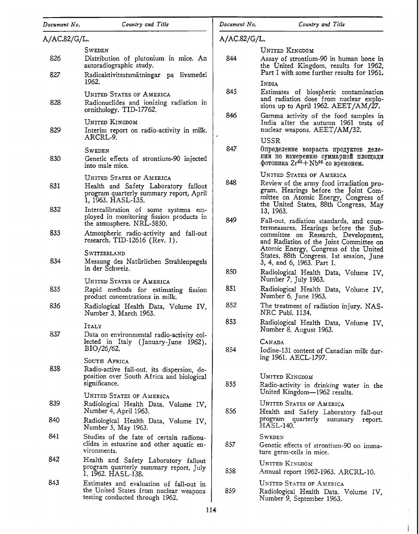| Document No. | Country and Title                                                                                                                        | Document No. | Country and Title                                                                                                                                                                                    |
|--------------|------------------------------------------------------------------------------------------------------------------------------------------|--------------|------------------------------------------------------------------------------------------------------------------------------------------------------------------------------------------------------|
| A/AC.82/G/L. |                                                                                                                                          | A/AC.82/G/L. |                                                                                                                                                                                                      |
|              | <b>SWEDEN</b>                                                                                                                            |              | UNITED KINGDOM                                                                                                                                                                                       |
| 826          | Distribution of plutonium in mice. An<br>autoradiographic study.                                                                         | 844          | Assay of strontium-90 in human bone in<br>the United Kingdom, results for 1962,                                                                                                                      |
| 827          | Radioaktivitestsmätningar pa livsmedel<br>1962.                                                                                          |              | Part I with some further results for 1961.<br>INDIA                                                                                                                                                  |
| 828          | <b>UNITED STATES OF AMERICA</b><br>Radionuclides and ionizing radiation in<br>ornithology. TID-17762.                                    | 845          | Estimates of biospheric contamination<br>and radiation dose from nuclear explo-<br>sions up to April 1962. $AEET/AM/27$ .                                                                            |
| 829          | UNITED KINGDOM<br>Interim report on radio-activity in milk.<br>ARCRL-9.                                                                  | 846<br>è     | Gamma activity of the food samples in<br>India after the autumn 1961 tests of<br>nuclear weapons. AEET/AM/32.                                                                                        |
| 830          | SWEDEN<br>Genetic effects of strontium-90 injected<br>into male mice.                                                                    | 847          | USSR<br>Определение возраста продуктов деле-<br>ния по измерению суммарной площади<br>фотопика Zr <sup>95</sup> +Nb <sup>95</sup> со временем.                                                       |
| 831          | <b>UNITED STATES OF AMERICA</b><br>Health and Safety Laboratory fallout<br>program quarterly summary report, April<br>1, 1963. HASL-135. | 848          | <b>UNITED STATES OF AMERICA</b><br>Review of the army food irradiation pro-<br>gram. Hearings before the Joint Com-<br>mittee on Atomic Energy, Congress of<br>the United States, 88th Congress, May |
| 832          | Intercalibration of some systems em-<br>ployed in monitoring fission products in<br>the atmosphere. NRL-5850.                            | 849          | 13, 1963.<br>Fall-out, radiation standards, and coun-                                                                                                                                                |
| 833          | Atmospheric radio-activity and fall-out<br>research. TID-12616 (Rev. 1).                                                                 |              | termeasures. Hearings before the Sub-<br>committee on Research, Development,<br>and Radiation of the Joint Committee on                                                                              |
| 834          | SWITZERLAND<br>Messung des Natürlichen Strahlenpegels<br>in der Schweiz.                                                                 |              | Atomic Energy, Congress of the United<br>States, 88th Congress, 1st session, June<br>3, 4, and 6, 1963. Part I.                                                                                      |
|              | UNITED STATES OF AMERICA                                                                                                                 | 850          | Radiological Health Data, Volume IV,<br>Number 7, July 1963.                                                                                                                                         |
| 835          | Rapid methods for estimating fission<br>product concentrations in milk.                                                                  | 851          | Radiological Health Data, Volume IV,<br>Number 6, June 1963.                                                                                                                                         |
| 836          | Radiological Health Data, Volume IV,<br>Number 3, March 1963.                                                                            | 852          | The treatment of radiation injury. NAS-<br>NRC Publ. 1134.                                                                                                                                           |
| 837          | ITALY<br>Data on environmental radio-activity col-                                                                                       | 853          | Radiological Health Data, Volume IV,<br>Number 8, August 1963.                                                                                                                                       |
|              | lected in Italy (January-June 1962).<br>BIO/26/62.                                                                                       | 854          | <b>CANADA</b><br>Iodine-131 content of Canadian milk dur-<br>ing 1961. AECL-1797.                                                                                                                    |
| 838          | SOUTH AFRICA<br>Radio-active fall-out, its dispersion, de-<br>position over South Africa and biological<br>significance.                 | 855          | UNITED KINGDOM<br>Radio-activity in drinking water in the                                                                                                                                            |
| 839          | <b>UNITED STATES OF AMERICA</b><br>Radiological Health Data, Volume IV,<br>Number 4, April 1963.                                         | 856          | United Kingdom-1962 results.<br><b>UNITED STATES OF AMERICA</b><br>Health and Safety Laboratory fall-out                                                                                             |
| 840          | Radiological Health Data, Volume IV,<br>Number 5, May 1963.                                                                              |              | program quarterly summary<br>report.<br><b>HASL-140.</b>                                                                                                                                             |
| 841          | Studies of the fate of certain radionu-<br>clides in estuarine and other aquatic en-<br>vironments.                                      | 857          | <b>SWEDEN</b><br>Genetic effects of strontium-90 on imma-<br>ture germ-cells in mice.                                                                                                                |
| 842          | Health and Safety Laboratory fallout<br>program quarterly summary report, July<br>1, 1962. HASL-138.                                     | 858          | UNITED KINGDOM<br>Annual report 1962-1963. ARCRL-10.                                                                                                                                                 |
| 843          | Estimates and evaluation of fall-out in<br>the United States from nuclear weapons<br>testing conducted through 1962.                     | 859          | <b>UNITED STATES OF AMERICA</b><br>Radiological Health Data, Volume IV,<br>Number 9, September 1963.                                                                                                 |

 $\frac{1}{\sqrt{2}}$ 

į.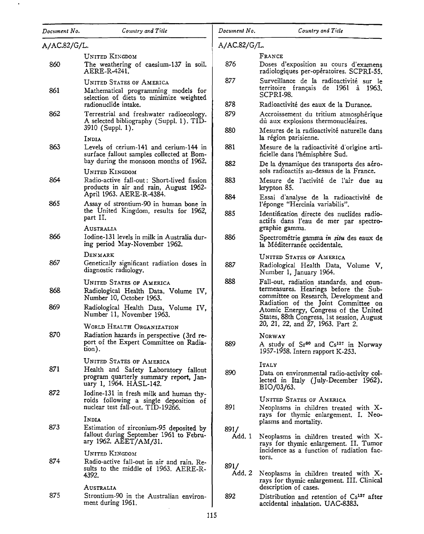| Document No. | Country and Title                                                                                                                             |
|--------------|-----------------------------------------------------------------------------------------------------------------------------------------------|
| A/AC.82/G/L. |                                                                                                                                               |
| 860          | UNITED KINGDOM<br>The weathering of caesium-137 in soil.<br>AERE-R-4241.                                                                      |
| 861          | UNITED STATES OF AMERICA<br>Mathematical programming models for<br>selection of diets to minimize weighted<br>radionuclide intake.            |
| 862          | Terrestrial and freshwater radioecology.<br>A selected bibliography (Suppl. 1). TID-<br>3910 (Suppl. 1).                                      |
| 863          | <b>INDIA</b><br>Levels of cerium-141 and cerium-144 in<br>surface fallout samples collected at Bom-<br>bay during the monsoon months of 1962. |
| 864          | UNITED KINGDOM<br>Radio-active fall-out: Short-lived fission<br>products in air and rain, August 1962-<br>April 1963. AERE-R-4384.            |
| 865          | Assay of strontium-90 in human bone in<br>the United Kingdom, results for 1962,<br>part II.                                                   |
| 866          | Australia<br>Iodine-131 levels in milk in Australia dur-<br>ing period May-November 1962.                                                     |
| 867          | Denmark<br>Genetically significant radiation doses in<br>diagnostic radiology.                                                                |
| 868          | <b>UNITED STATES OF AMERICA</b><br>Radiological Health Data, Volume IV,<br>Number 10, October 1963.                                           |
| 869          | Radiological Health Data, Volume IV,<br>Number 11, November 1963.                                                                             |
| 870          | WORLD HEALTH ORGANIZATION<br>Radiation hazards in perspective (3rd re-<br>port of the Expert Committee on Radia-<br>tion).                    |
| 871          | <b>UNITED STATES OF AMERICA</b><br>Health and Safety Laboratory fallout<br>program quarterly summary report, Jan-<br>uary 1, 1964. HASL-142.  |
| 872          | Iodine-131 in fresh milk and human thy-<br>roids following a single deposition of<br>nuclear test fall-out. TID-19266.                        |
| 873          | INDIA<br>Estimation of zirconium-95 deposited by<br>fallout during September 1961 to Febru-<br>ary 1962. AEET/AM/31.                          |
| 874          | <b>UNITED KINGDOM</b><br>Radio-active fall-out in air and rain. Re-<br>sults to the middle of 1963. AERE-R-<br>4392.                          |
| 875          | Australia<br>Strontium-90 in the Australian environ-<br>ment during 1961.                                                                     |

A/AC.82/G/L.

| RAN |
|-----|
|-----|

- 876 Doses d'exposition au cours d'examens radiologiques per-opératoires. SCPRI-55.
- 877 Surveillance de la radioactivité sur le territoire français de 1961 à 1963. SCPRI-98.

878 Radioactivite des eaux de la Durance.

- 879 Accroissement du tritium atmosphérique du aux explosions thermonucléaires.
- 880 Mesures de la radioactivité naturelle dans la région parisienne.
- 881 Mesure de la radioactivite d'origine artificielle dans !'hemisphere Sud.
- 882 De la dynamique des transports des aérosols radioactifs au-dessus de la France.
- 883 Mesure de l'activite de l'air due au krypton 85.
- 884 Essai d'analyse de la radioactivite de l'éponge "Hercinia variabilis".
- 885 Identification directe des nuclides radioactifs dans l'eau de mer par spectrographie gamma.
- 886 Spectrométrie gamma in situ des eaux de la Méditerranée occidentale.

UNITED STATES OF AMERICA

- 887 Radiological Health Data, Volume V, Number 1, January 1964.
- 888 Fall-out, radiation standards, and countermeasures. Hearings before the Subcommittee on Research, Development and Radiation of the Joint Committee on Atomic Energy, Congress of the United States, 88th Congress, lst session, August 20, 21, 22, and 27, 1963. Part *2.*

## NORWAY

889 A study of Sr<sup>90</sup> and Cs<sup>137</sup> in Norway 1957-1958. Intern rapport K-253.

ITALY

890 Data on environmental radio-activity collected in Italy (July-December 1962). BI0/03/63.

UNITED STATES OF AMERICA

Neoplasms in children treated with Xrays for thymic enlargement. I. Neoplasms and mortality.

891/

891

Add. 1 Neoplasms in children treated with Xrays for thymic enlargement. II. Tumor incidence as a function of radiation factors.

891/

Add. *2*  Neoplasms in children treated with Xrays for thymic enlargement. III. Clinical description of cases.

892 Distribution and retention of Cs<sup>137</sup> after accidental inhalation. UAC-8383.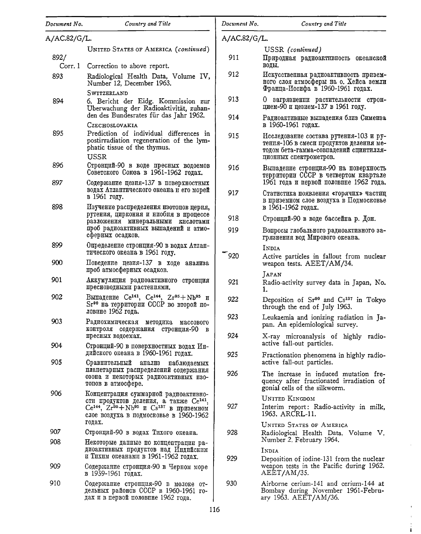| Document No.   | Country and Title                                                                                                                                                                                 | Document No. | Country and Title                                                                                                                                     |
|----------------|---------------------------------------------------------------------------------------------------------------------------------------------------------------------------------------------------|--------------|-------------------------------------------------------------------------------------------------------------------------------------------------------|
| A/AC.82/G/L.   |                                                                                                                                                                                                   | A/AC.82/G/L. |                                                                                                                                                       |
|                | UNITED STATES OF AMERICA (continued)                                                                                                                                                              |              | USSR (continued)                                                                                                                                      |
| 892/<br>Corr.1 | Correction to above report.                                                                                                                                                                       | 911          | Природная радиоактивность океанской<br>воды.                                                                                                          |
| 893            | Radiological Health Data, Volume IV,<br>Number 12, December 1963.                                                                                                                                 | 912          | Искусственная радиоактивность призем-<br>ного слоя атмосферы на о. Хейса земли                                                                        |
|                | SWITZERLAND                                                                                                                                                                                       |              | Франца-Иосифа в 1960-1961 годах.                                                                                                                      |
| 894            | 6. Bericht der Eidg. Kommission zur<br>Uberwachung der Radioaktivität, zuhan-                                                                                                                     | 913          | О загрязнении растительности строн-<br>цием-90 и цезием-137 в 1961 году.                                                                              |
|                | den des Bundesrates für das Jahr 1962.<br>CZECHOSLOVAKIA                                                                                                                                          | 914          | Радиоактивные выпадения близ Симеиза<br>в 1960-1961 годах.                                                                                            |
| 895            | Prediction of individual differences in<br>postirradiation regeneration of the lym-<br>phatic tissue of the thymus.<br>USSR                                                                       | 915          | Исследование состава рутения-103 и ру-<br>тения-106 в смеси продуктов деления ме-<br>тодом бета-гамма-совпадений сцинтилля-<br>ционных спектрометров. |
| 896            | Стронций-90 в воде пресных водоемов<br>Советского Союза в 1961-1962 годах.                                                                                                                        | 916          | Выпадение стронция-90 на поверхность<br>территории СССР в четвертом квартале                                                                          |
| 897            | Содержание цезия-137 в поверхностных<br>водах Атлантического океана и его морей                                                                                                                   | 917          | 1961 года и первой половине 1962 года.<br>Статистика появления «горячих» частиц                                                                       |
| 898            | в 1961 году.<br>Изучение распределения изотопов церия,                                                                                                                                            |              | в приземном слое воздуха в Подмосковье<br>в 1961-1962 годах.                                                                                          |
|                | рутения, циркония и ниобия в процессе<br>разложения минеральными кислотами                                                                                                                        | 918          | Стронций-90 в воде бассейна р. Дон.                                                                                                                   |
|                | проб радиоактивных выпадений и атмо-<br>сферных осадков.                                                                                                                                          | 919          | Вопросы глобального радиоактивного за-<br>грязнения вод Мирового океана.                                                                              |
| 899            | Определение стронция-90 в водах Атлан-<br>тического океана в 1961 году.                                                                                                                           | 920          | INDIA                                                                                                                                                 |
| 900            | Поведение цезня-137 в ходе анализа<br>проб атмосферных осадков.                                                                                                                                   |              | Active particles in fallout from nuclear<br>weapon tests. AEET/AM/34.                                                                                 |
| 901            | Аккумуляция радиоактивного стронция<br>пресноводными растениями.                                                                                                                                  | 921          | <b>JAPAN</b><br>Radio-activity survey data in Japan, No.<br>ı.                                                                                        |
| 902            | Выпадение Се <sup>141</sup> , Се <sup>144</sup> , Zr <sup>95</sup> +Nb <sup>95</sup> и<br>Sr <sup>90</sup> на территории СССР во второй по-<br>ловине 1962 года.                                  | 922          | Deposition of Sr <sup>90</sup> and Cs <sup>137</sup> in Tokyo<br>through the end of July 1963.                                                        |
| 903            | Радиохимическая методика<br>массового<br>контроля содержания стронция-90 в                                                                                                                        | 923          | Leukaemia and ionizing radiation in Ja-<br>pan. An epidemiological survey.                                                                            |
| 904            | пресных водоемах.<br>Стронций-90 в поверхностных водах Ин-                                                                                                                                        | 924          | X-ray microanalysis of highly radio-<br>active fall-out particles.                                                                                    |
| 905            | дийского океана в 1960-1961 годах.<br>Сравнительный анализ наблюдаемых                                                                                                                            | 925          | Fractionation phenomena in highly radio-<br>active fall-out particles.                                                                                |
|                | планетарных распределений содержания<br>озона и некоторых радиоактивных изо-<br>топов в атмосфере.                                                                                                | 926          | The increase in induced mutation fre-<br>quency after fractionated irradiation of<br>gonial cells of the silkworm.                                    |
| 906            | Концентрация суммарной радиоактивно-<br>сти продуктов деления, а также Се <sup>141</sup> .<br>$Ce^{144}$ , $Zr^{95} + Nb^{95}$ и $Cs^{137}$ в приземном<br>слое воздуха в подмосковье в 1960-1962 | 927          | <b>UNITED KINGDOM</b><br>Interim report: Radio-activity in milk,<br>1963. ARCRL-11.                                                                   |
| 907            | годах.<br>Стронций-90 в водах Тихого океана.                                                                                                                                                      | 928          | <b>UNITED STATES OF AMERICA</b><br>Radiological Health Data, Volume V,                                                                                |
| 908            | Некоторые данные по концентрации ра-<br>диоактивных продуктов над Индийским                                                                                                                       |              | Number 2. February 1964.                                                                                                                              |
|                | и Тихим океанами в 1961-1962 годах.                                                                                                                                                               | 929          | INDIA<br>Deposition of iodine-131 from the nuclear                                                                                                    |
| 909            | Содержание стронция-90 в Черном море<br>в 1959-1961 годах.                                                                                                                                        |              | weapon tests in the Pacific during 1962.<br>AEET/AM/35.                                                                                               |
| 910            | Содержание стронция-90 в молоке от-<br>дельных районов СССР в 1960-1961 го-<br>дах и в первой половине 1962 года.                                                                                 | 930          | Airborne cerium-141 and cerium-144 at<br>Bombay during November 1961-Febru-<br>ary 1963. AEET/AM/36.                                                  |

 $\bar{z}$ 

 $\frac{1}{4}$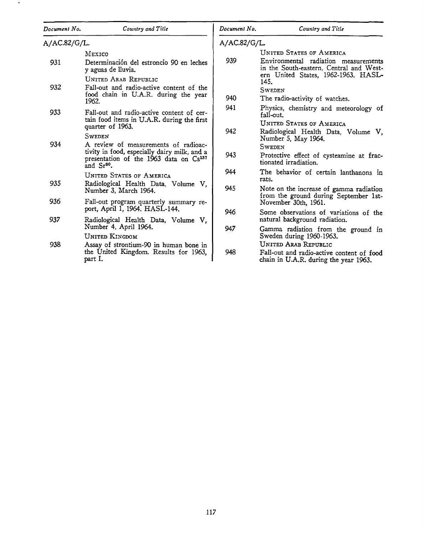| Document No. | Country and Title                                                                                                                                           | Document No. | Country and Title                                                                                                                                         |
|--------------|-------------------------------------------------------------------------------------------------------------------------------------------------------------|--------------|-----------------------------------------------------------------------------------------------------------------------------------------------------------|
| A/AC.82/G/L. |                                                                                                                                                             | A/AC.82/G/L. |                                                                                                                                                           |
| 931          | MEXICO<br>Determinación del estroncio 90 en leches<br>y aguas de lluvia.                                                                                    | 939          | <b>UNITED STATES OF AMERICA</b><br>Environmental radiation measurements<br>in the South-eastern, Central and West-<br>ern United States, 1962-1963. HASL- |
| 932          | UNITED ARAB REPUBLIC<br>Fall-out and radio-active content of the<br>food chain in U.A.R. during the year<br>1962.                                           | 940          | 145.<br><b>SWEDEN</b><br>The radio-activity of watches.                                                                                                   |
| 933          | Fall-out and radio-active content of cer-<br>tain food items in U.A.R. during the first<br>quarter of 1963.                                                 | 941          | Physics, chemistry and meteorology of<br>fall-out.<br><b>UNITED STATES OF AMERICA</b>                                                                     |
| 934          | <b>SWEDEN</b><br>A review of measurements of radioac-<br>tivity in food, especially dairy milk, and a<br>presentation of the 1963 data on Cs <sup>137</sup> | 942<br>943   | Radiological Health Data, Volume V,<br>Number 5, May 1964.<br><b>SWEDEN</b><br>Protective effect of cysteamine at frac-                                   |
|              | and $Sr^{90}$ .<br><b>UNITED STATES OF AMERICA</b>                                                                                                          | 944          | tionated irradiation.<br>The behavior of certain lanthanons in<br>rats.                                                                                   |
| 935          | Radiological Health Data, Volume V,<br>Number 3, March 1964.                                                                                                | 945          | Note on the increase of gamma radiation                                                                                                                   |
| 936          | Fall-out program quarterly summary re-<br>port, April 1, 1964. HASL-144.                                                                                    |              | from the ground during September 1st-<br>November 30th, 1961.                                                                                             |
| 937          | Radiological Health Data, Volume V,                                                                                                                         | 946          | Some observations of variations of the<br>natural background radiation.                                                                                   |
|              | Number 4, April 1964.<br>UNITED KINGDOM                                                                                                                     | 947          | Gamma radiation from the ground in<br>Sweden during 1960-1963.                                                                                            |
| 938          | Assay of strontium-90 in human bone in<br>the United Kingdom. Results for 1963,<br>part I.                                                                  | 948          | <b>UNITED ARAB REPUBLIC</b><br>Fall-out and radio-active content of food<br>chain in U.A.R. during the year 1963.                                         |

- 11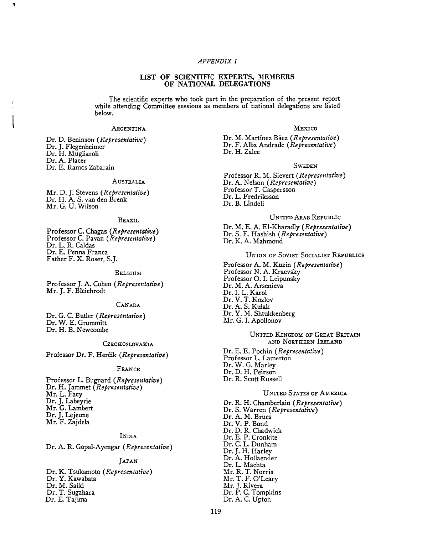# *APPENDIX I*

## LIST OF SCIENTIFIC EXPERTS, MEMBERS OF NATIONAL DELEGATIONS

The scientific experts who took part in the preparation of the present report while attending Committee sessions as members of national delegations are listed below.

### **ARGENTINA**

Dr. D. Beninson *(Representative)*  Dr. J. Flegenheimer Dr. H. Mugliaroli Dr. A. Placer Dr. E. Ramos Zabarain

#### AUSTRALIA

Mr. D. J. Stevens *(Representative)*  Dr. H. A. S. van den Brenk Mr. G. U. Wilson

## BRAZIL

Professor C. Chagas *(Representative)*  Professor C. Pavan *(Representative)*  Dr. L. R. Caldas Dr. E. Penna Franca Father F. X. Roser, S.J.

#### BELGIUM

Professor J. A. Cohen *(Representative)*  Mr. J. F. Bleichrodt

## CANADA

Dr. G. C. Butler *(Representative)*  Dr. W. E. Grummitt Dr. H. B. Newcombe

### **CZECHOSLOVAKIA**

Professor Dr. F. Hercik *(Representative)* 

#### **FRANCE**

Professor L. Bugnard *(Representative)*  Dr. H. Jammet *(Representative)*  Mr.L.Facy Dr. J. Labeyrie Mr. G. Lambert Dr. J. Lejeune Mr. F. Zajdela

## INDIA

Dr. A. R. Gopal-Ayengar *(Representative)* 

## JAPAN

Dr. K. Tsukamoto *(Representative)*  Dr. Y. Kawabata Dr. M. Saiki Dr. T. Sugahara Dr. E. Tajima

#### MEXICO

Dr. M. Martinez Baez *(Representative)*  Dr. F. Alba Andrade *(Representative)*  Dr. H. Zalce

#### **SWEDEN**

Professor R. M. Sievert *(Representative)*  Dr. A. Nelson *(Representative)*  Professor T. Caspersson Dr. L. Fredriksson Dr. B. Lindell

## UNITED ARAB REPUBLIC

Dr. M. E. A. El-Kharadly *(Representative)*  Dr. S. E. Hashish *(Representative)*  Dr. K. A. Mahmoud

## UNION OF SOVIET SOCIALIST REPUBLICS

Professor A. M. Kuzin *(Representative)*  Professor N. A. Kraevsky Professor 0. I. Leipunsky Dr. M. A. Arsenieva Dr. I. L. Karol Dr. V. T. Kozlov Dr. A. S. Kulak Dr. Y. M. Shtukkenberg Mr. G. I. Apollonov

#### UNITED KINGDOM OF GREAT BRITAIN AND NORTHERN IRELAND

Dr. E. E. Pochin *(Representative)*  Professor L. Lamerton Dr. W. G. Marley Dr. D. H. Peirson Dr. R. Scott Russell

# **UNITED STATES OF AMERICA**

Dr. R.H. Chamberlain *(Representative)*  Dr. S. Warren *(Representative)*  Dr. A. M. Brues Dr. V. P. Bond Dr. D. R. Chadwick Dr. E. P. Cronkite Dr. C. L. Dunham Dr. J. H. Harley Dr. A. Hollaender<br>Dr. L. Machta Mr. R. T. Norris Mr. T. F. O'Leary Mr. J. Rivera Dr. P. C. Tompkins Dr. A. C. Upton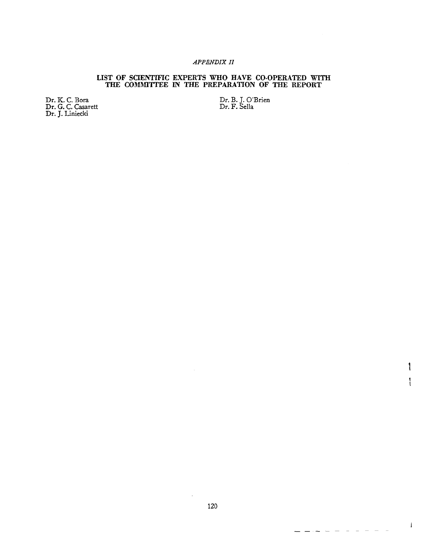# *APPENDIX II*

# LIST OF SCIENTIFIC EXPERTS WHO HAVE CO-OPERATED WITH THE COMMITTEE IN THE PREPARATION OF THE REPORT

Dr. K. C. Bora Dr. G. C. Casarett Dr. J. Liniecki

Dr. B. J. O'Brien Dr. F. Sella

 $\mathbf{I}$